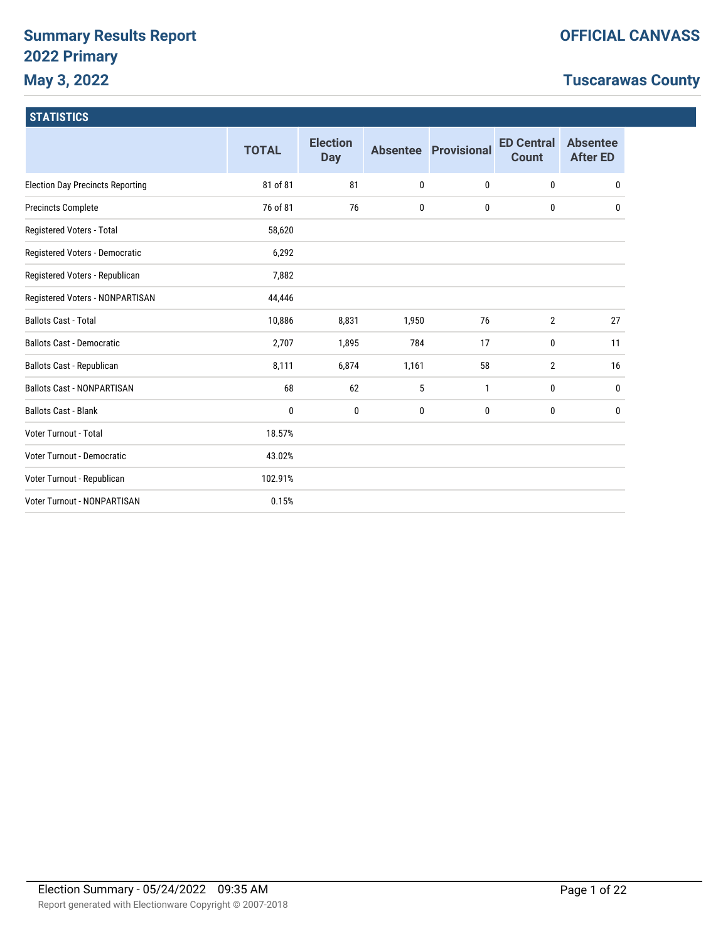# **Summary Results Report 2022 Primary May 3, 2022**

# **Tuscarawas County**

|                                         | <b>TOTAL</b> | <b>Election</b><br><b>Day</b> | <b>Absentee</b> | <b>Provisional</b> | <b>ED Central</b><br><b>Count</b> | <b>Absentee</b><br><b>After ED</b> |
|-----------------------------------------|--------------|-------------------------------|-----------------|--------------------|-----------------------------------|------------------------------------|
| <b>Election Day Precincts Reporting</b> | 81 of 81     | 81                            | 0               | 0                  | $\bf{0}$                          | 0                                  |
| <b>Precincts Complete</b>               | 76 of 81     | 76                            | 0               | 0                  | 0                                 | 0                                  |
| Registered Voters - Total               | 58,620       |                               |                 |                    |                                   |                                    |
| Registered Voters - Democratic          | 6,292        |                               |                 |                    |                                   |                                    |
| Registered Voters - Republican          | 7,882        |                               |                 |                    |                                   |                                    |
| Registered Voters - NONPARTISAN         | 44,446       |                               |                 |                    |                                   |                                    |
| <b>Ballots Cast - Total</b>             | 10,886       | 8,831                         | 1,950           | 76                 | $\overline{2}$                    | 27                                 |
| <b>Ballots Cast - Democratic</b>        | 2,707        | 1,895                         | 784             | 17                 | 0                                 | 11                                 |
| Ballots Cast - Republican               | 8,111        | 6,874                         | 1,161           | 58                 | $\overline{2}$                    | 16                                 |
| <b>Ballots Cast - NONPARTISAN</b>       | 68           | 62                            | 5               | 1                  | 0                                 | 0                                  |
| <b>Ballots Cast - Blank</b>             | 0            | 0                             | 0               | 0                  | 0                                 | 0                                  |
| Voter Turnout - Total                   | 18.57%       |                               |                 |                    |                                   |                                    |
| Voter Turnout - Democratic              | 43.02%       |                               |                 |                    |                                   |                                    |
| Voter Turnout - Republican              | 102.91%      |                               |                 |                    |                                   |                                    |
| <b>Voter Turnout - NONPARTISAN</b>      | 0.15%        |                               |                 |                    |                                   |                                    |
|                                         |              |                               |                 |                    |                                   |                                    |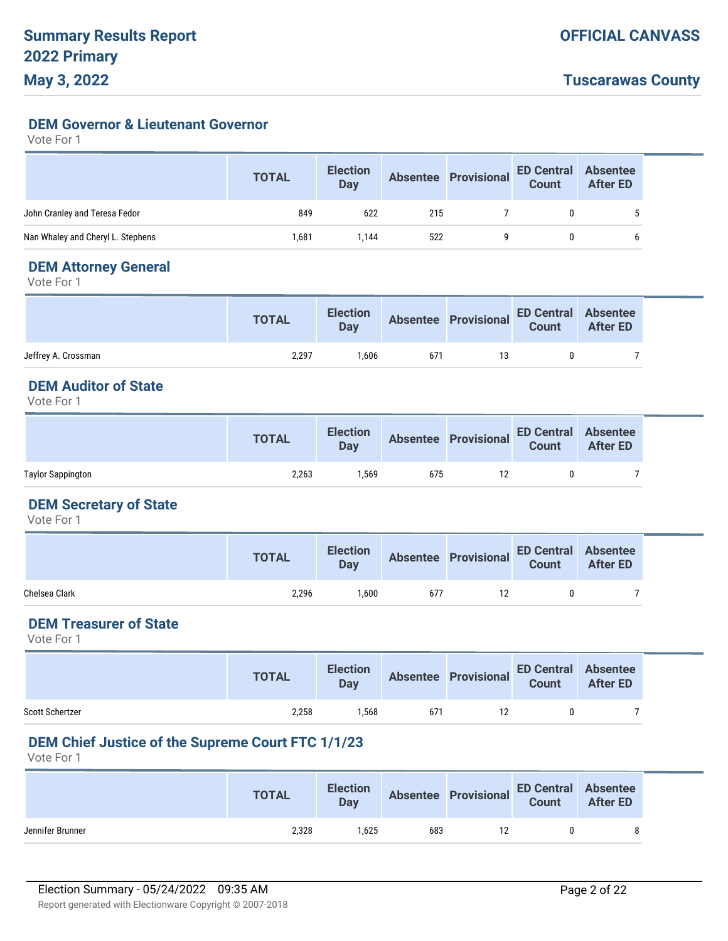**DEM Governor & Lieutenant Governor**

Vote For 1

|                                   | <b>TOTAL</b> | <b>Election</b><br>Day |     | Absentee Provisional ED Central Absentee<br>Count After ED |   |  |
|-----------------------------------|--------------|------------------------|-----|------------------------------------------------------------|---|--|
| John Cranley and Teresa Fedor     | 849          | 622                    | 215 |                                                            | 0 |  |
| Nan Whaley and Cheryl L. Stephens | 1,681        | 1.144                  | 522 |                                                            |   |  |

## **DEM Attorney General**

Vote For 1

|                     | <b>TOTAL</b> | <b>Election</b><br><b>Day</b> |     | Absentee Provisional ED Central Absentee<br>Count After ED |  |
|---------------------|--------------|-------------------------------|-----|------------------------------------------------------------|--|
| Jeffrey A. Crossman | 2.297        | 1.606                         | 671 |                                                            |  |

## **DEM Auditor of State**

Vote For 1

|                   | <b>TOTAL</b> | <b>Election</b><br>Day |     | Absentee Provisional ED Central Absentee<br>Count After ED |  |
|-------------------|--------------|------------------------|-----|------------------------------------------------------------|--|
| Taylor Sappington | 2,263        | .569                   | 675 |                                                            |  |

### **DEM Secretary of State**

Vote For 1

|               | <b>TOTAL</b> | <b>Election</b><br>Day |     | Absentee Provisional ED Central Absentee<br>Count After ED |  |
|---------------|--------------|------------------------|-----|------------------------------------------------------------|--|
| Chelsea Clark | 2,296        | .600                   | 677 |                                                            |  |

# **DEM Treasurer of State**

Vote For 1

|                        | <b>TOTAL</b> | <b>Election</b><br>Day |     | Absentee Provisional ED Central Absentee<br>Count After ED |    |  |
|------------------------|--------------|------------------------|-----|------------------------------------------------------------|----|--|
| <b>Scott Schertzer</b> | 2,258        | .568                   | 671 |                                                            | n. |  |

# **DEM Chief Justice of the Supreme Court FTC 1/1/23**

|                  | <b>TOTAL</b> | <b>Election</b><br>Day |     | Absentee Provisional ED Central Absentee |   |
|------------------|--------------|------------------------|-----|------------------------------------------|---|
| Jennifer Brunner | 2,328        | .625                   | 683 |                                          | Õ |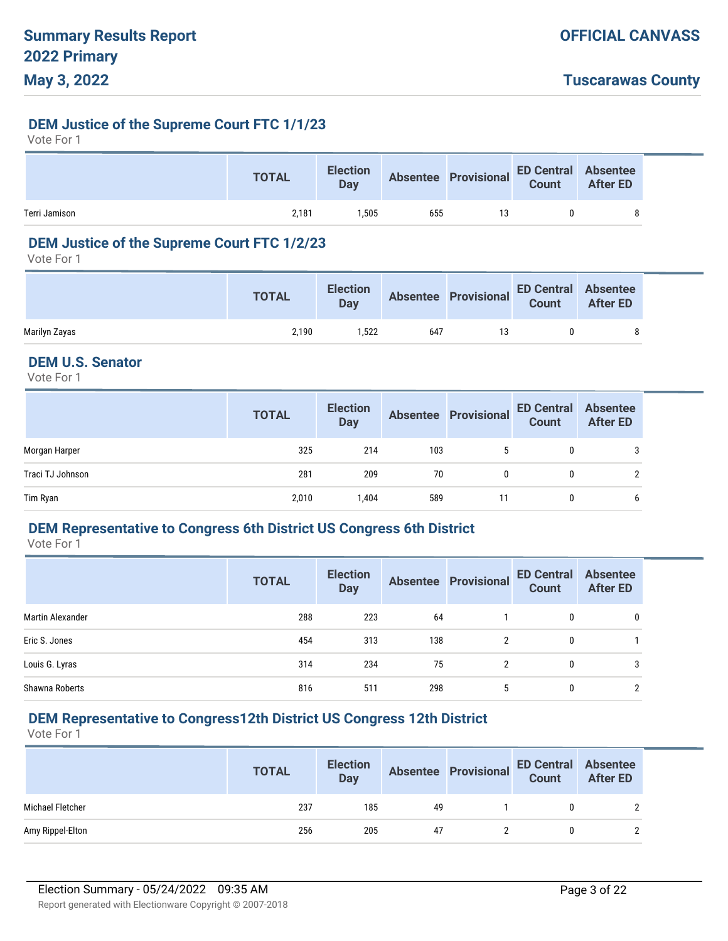#### **DEM Justice of the Supreme Court FTC 1/1/23**

Vote For 1

|               | <b>TOTAL</b> | <b>Election</b><br>Day |     | Absentee Provisional ED Central Absentee<br>Count After ED |  |
|---------------|--------------|------------------------|-----|------------------------------------------------------------|--|
| Terri Jamison | 2.181        | .505                   | 655 | 13                                                         |  |

# **DEM Justice of the Supreme Court FTC 1/2/23**

Vote For 1

|               | <b>TOTAL</b> | <b>Election</b><br>Day |     | Absentee Provisional ED Central Absentee<br>Count After ED | After ED |
|---------------|--------------|------------------------|-----|------------------------------------------------------------|----------|
| Marilyn Zayas | 2.190        | .522                   | 647 | 13                                                         |          |

# **DEM U.S. Senator**

Vote For 1

|                  | <b>TOTAL</b> | <b>Election</b><br><b>Day</b> |     | Absentee Provisional | ED Central<br>Count | <b>Absentee</b><br><b>After ED</b> |
|------------------|--------------|-------------------------------|-----|----------------------|---------------------|------------------------------------|
| Morgan Harper    | 325          | 214                           | 103 | 5                    | $\mathbf{0}$        | 3                                  |
| Traci TJ Johnson | 281          | 209                           | 70  | $\mathbf{0}$         | 0                   | ົ                                  |
| Tim Ryan         | 2,010        | 1,404                         | 589 | 11                   | 0                   | b                                  |

### **DEM Representative to Congress 6th District US Congress 6th District**

Vote For 1

|                  | <b>TOTAL</b> | <b>Election</b><br><b>Day</b> |     | <b>Absentee Provisional</b> | <b>ED Central</b><br><b>Count</b> | <b>Absentee</b><br><b>After ED</b> |
|------------------|--------------|-------------------------------|-----|-----------------------------|-----------------------------------|------------------------------------|
| Martin Alexander | 288          | 223                           | 64  |                             | 0                                 |                                    |
| Eric S. Jones    | 454          | 313                           | 138 | 2                           | 0                                 |                                    |
| Louis G. Lyras   | 314          | 234                           | 75  | 2                           | 0                                 |                                    |
| Shawna Roberts   | 816          | 511                           | 298 | 5                           | 0                                 |                                    |

### **DEM Representative to Congress12th District US Congress 12th District**

|                  | <b>TOTAL</b> | <b>Election</b><br><b>Day</b> |    | Absentee Provisional ED Central Absentee<br>Count After ED |  |
|------------------|--------------|-------------------------------|----|------------------------------------------------------------|--|
| Michael Fletcher | 237          | 185                           | 49 |                                                            |  |
| Amy Rippel-Elton | 256          | 205                           | 47 |                                                            |  |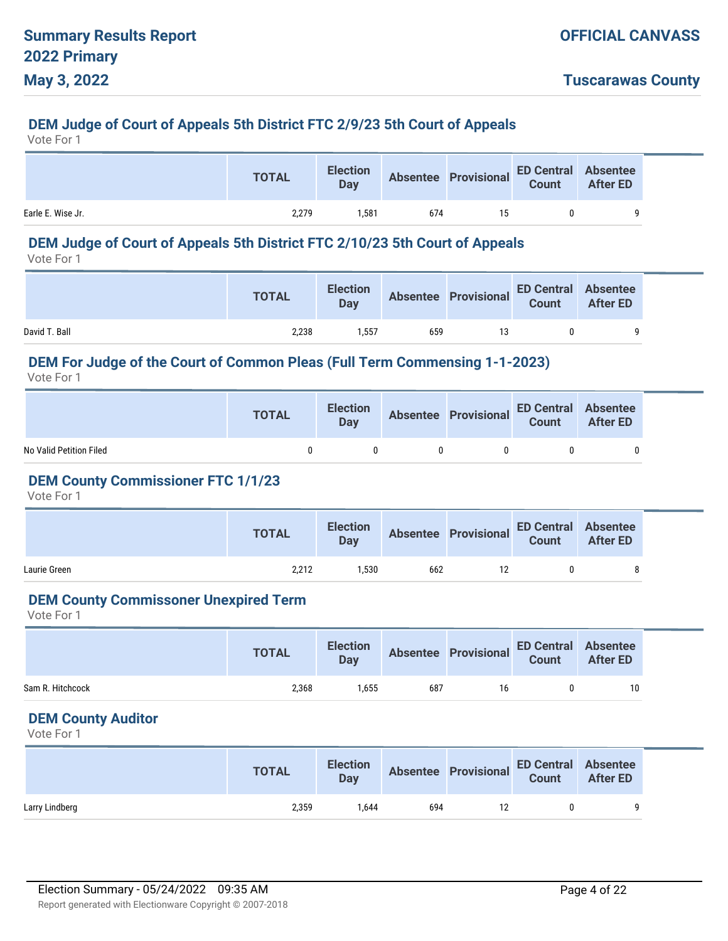# **DEM Judge of Court of Appeals 5th District FTC 2/9/23 5th Court of Appeals**

Vote For 1

|                   | <b>TOTAL</b> | <b>Election</b><br>Day |     |    | Absentee Provisional ED Central Absentee<br>Count After ED |  |
|-------------------|--------------|------------------------|-----|----|------------------------------------------------------------|--|
| Earle E. Wise Jr. | 2,279        | 1.581                  | 674 | 15 |                                                            |  |

# **DEM Judge of Court of Appeals 5th District FTC 2/10/23 5th Court of Appeals**

Vote For 1

|               | <b>TOTAL</b> | <b>Election</b><br><b>Day</b> |     | Absentee Provisional ED Central Absentee |  |  |
|---------------|--------------|-------------------------------|-----|------------------------------------------|--|--|
| David T. Ball | 2,238        | 1.557                         | 659 |                                          |  |  |

#### **DEM For Judge of the Court of Common Pleas (Full Term Commensing 1-1-2023)**

Vote For 1

|                         | <b>TOTAL</b> | <b>Election</b><br>Day | Absentee Provisional ED Central Absentee |  |
|-------------------------|--------------|------------------------|------------------------------------------|--|
| No Valid Petition Filed |              |                        |                                          |  |

### **DEM County Commissioner FTC 1/1/23**

Vote For 1

|              | <b>TOTAL</b> | <b>Election</b><br><b>Day</b> |     | Absentee Provisional ED Central Absentee<br>Count After ED |  |
|--------------|--------------|-------------------------------|-----|------------------------------------------------------------|--|
| Laurie Green | 2.212        | 1.530                         | 662 |                                                            |  |

#### **DEM County Commissoner Unexpired Term**

Vote For 1

|                  | <b>TOTAL</b> | <b>Election</b><br><b>Day</b> |     | Absentee Provisional ED Central Absentee<br>Count After ED |    |
|------------------|--------------|-------------------------------|-----|------------------------------------------------------------|----|
| Sam R. Hitchcock | 2,368        | 1.655                         | 687 | 16                                                         | 10 |

### **DEM County Auditor**

|                | <b>TOTAL</b> | <b>Day</b> |     | Election Absentee Provisional ED Central Absentee<br>Day Count After ED |  |
|----------------|--------------|------------|-----|-------------------------------------------------------------------------|--|
| Larry Lindberg | 2,359        | .644       | 694 |                                                                         |  |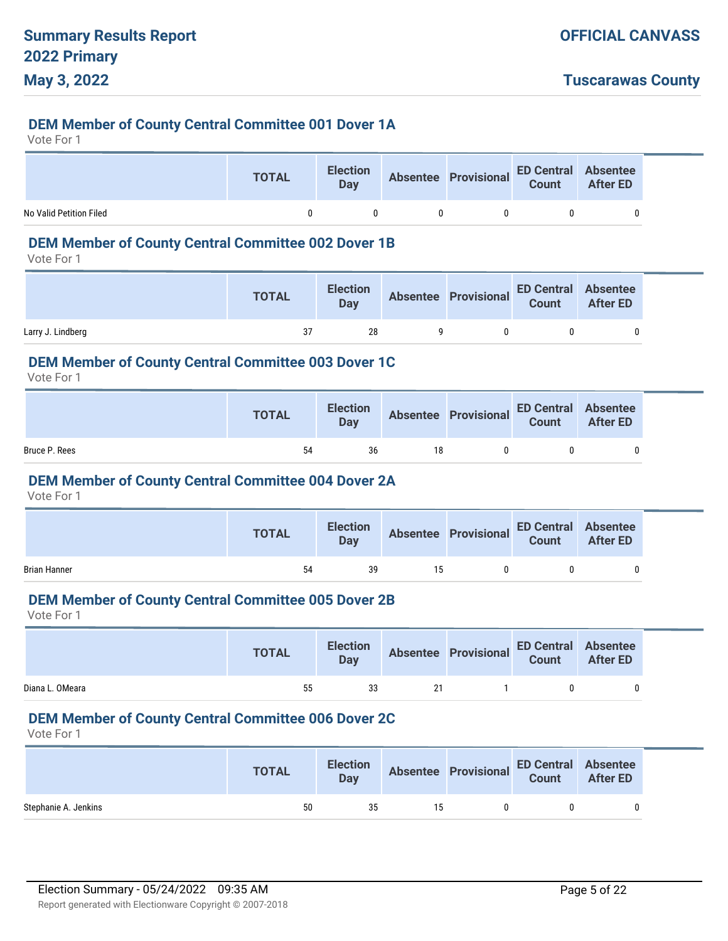#### **DEM Member of County Central Committee 001 Dover 1A**

Vote For 1

|                         | <b>TOTAL</b> | <b>Election</b><br>Day | Absentee Provisional ED Central Absentee<br>Count After ED |  |
|-------------------------|--------------|------------------------|------------------------------------------------------------|--|
| No Valid Petition Filed |              | n                      |                                                            |  |

# **DEM Member of County Central Committee 002 Dover 1B**

Vote For 1

|                   | <b>TOTAL</b> |    |  | Election Absentee Provisional ED Central Absentee<br>Day Bay Basentee Provisional Count After ED |  |
|-------------------|--------------|----|--|--------------------------------------------------------------------------------------------------|--|
| Larry J. Lindberg |              | 28 |  |                                                                                                  |  |

#### **DEM Member of County Central Committee 003 Dover 1C**

Vote For 1

|               | <b>TOTAL</b> | <b>Election</b><br>Day |    | Absentee Provisional ED Central Absentee |  |
|---------------|--------------|------------------------|----|------------------------------------------|--|
| Bruce P. Rees | 54           | 36                     | 18 |                                          |  |

#### **DEM Member of County Central Committee 004 Dover 2A**

Vote For 1

|                     | <b>TOTAL</b> | <b>Election</b><br><b>Day</b> |    | Absentee Provisional ED Central Absentee |   |
|---------------------|--------------|-------------------------------|----|------------------------------------------|---|
| <b>Brian Hanner</b> | 54           | 39                            | 15 |                                          | 0 |

#### **DEM Member of County Central Committee 005 Dover 2B**

Vote For 1

|                 | <b>TOTAL</b> | <b>Election</b><br><b>Day</b> |    | Absentee Provisional ED Central Absentee<br>Count After ED |  |
|-----------------|--------------|-------------------------------|----|------------------------------------------------------------|--|
| Diana L. OMeara | 55           | 33                            | 21 |                                                            |  |

# **DEM Member of County Central Committee 006 Dover 2C**

|                      | <b>TOTAL</b> |    |    | Election Absentee Provisional ED Central Absentee<br>Day Count After ED |  |
|----------------------|--------------|----|----|-------------------------------------------------------------------------|--|
| Stephanie A. Jenkins | 50           | 35 | 15 |                                                                         |  |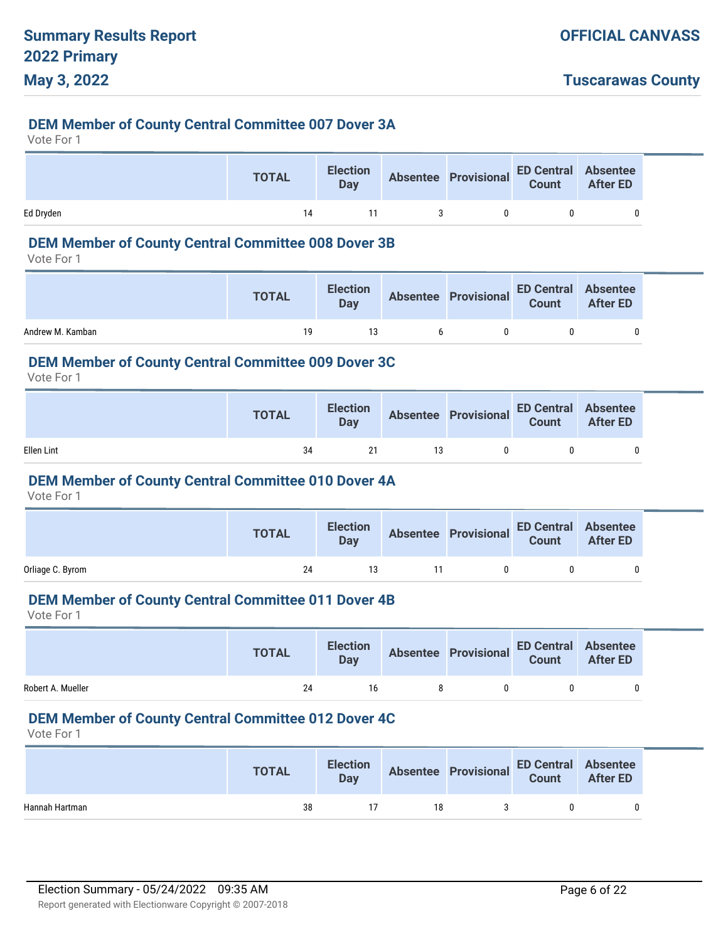#### **DEM Member of County Central Committee 007 Dover 3A**

Vote For 1

|           | <b>TOTAL</b> | <b>Election</b><br>Day |    | Absentee Provisional ED Central Absentee<br>Count After ED |  |
|-----------|--------------|------------------------|----|------------------------------------------------------------|--|
| Ed Dryden | 14           |                        | n. |                                                            |  |

#### **DEM Member of County Central Committee 008 Dover 3B**

Vote For 1

|                  | <b>TOTAL</b> |    |    | Election Absentee Provisional ED Central Absentee<br>Day Bay Basentee Provisional Count After ED |  |
|------------------|--------------|----|----|--------------------------------------------------------------------------------------------------|--|
| Andrew M. Kamban | 19           | 13 | 6. |                                                                                                  |  |

#### **DEM Member of County Central Committee 009 Dover 3C**

Vote For 1

|            | <b>TOTAL</b> | <b>Election</b><br><b>Day</b> |    | Absentee Provisional ED Central Absentee |  |
|------------|--------------|-------------------------------|----|------------------------------------------|--|
| Ellen Lint | 34           | 21                            | 13 |                                          |  |

#### **DEM Member of County Central Committee 010 Dover 4A**

Vote For 1

|                  | <b>TOTAL</b> | <b>Election</b><br><b>Day</b> | Absentee Provisional ED Central Absentee<br>Count After ED |  |
|------------------|--------------|-------------------------------|------------------------------------------------------------|--|
| Orliage C. Byrom | 24           | 13                            |                                                            |  |

# **DEM Member of County Central Committee 011 Dover 4B**

Vote For 1

|                   | <b>TOTAL</b> | <b>Election</b><br><b>Day</b> | Absentee Provisional ED Central Absentee |  |
|-------------------|--------------|-------------------------------|------------------------------------------|--|
| Robert A. Mueller | 24           | 16                            |                                          |  |

# **DEM Member of County Central Committee 012 Dover 4C**

|                | <b>TOTAL</b> | <b>Election</b><br>Day |    | Absentee Provisional ED Central Absentee<br>Count After ED |  |
|----------------|--------------|------------------------|----|------------------------------------------------------------|--|
| Hannah Hartman | 38           |                        | 18 |                                                            |  |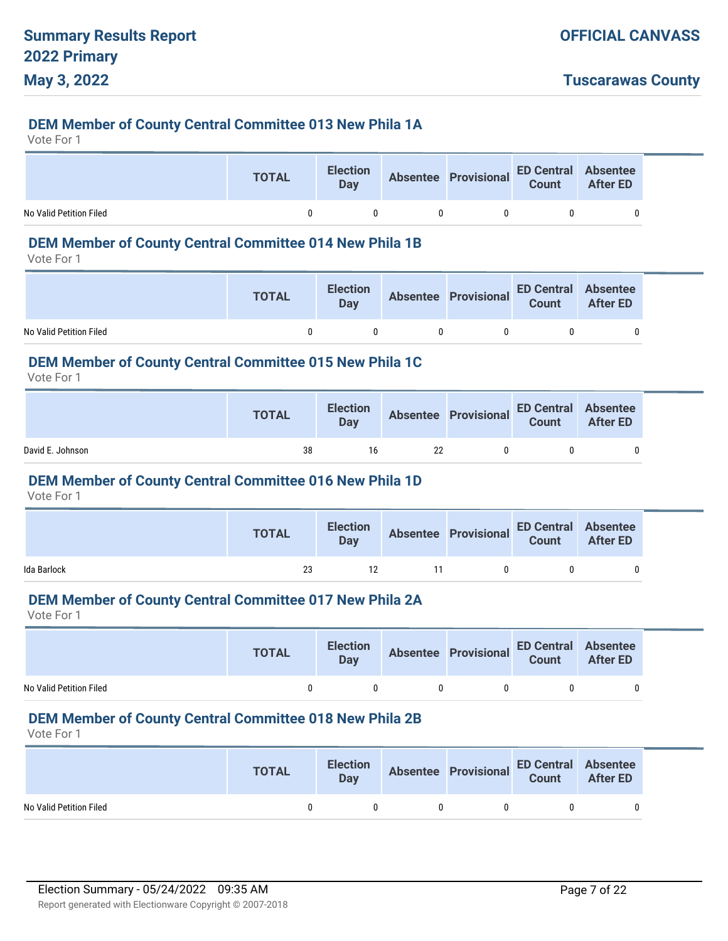#### **DEM Member of County Central Committee 013 New Phila 1A**

Vote For 1

|                         | <b>TOTAL</b> | <b>Election</b><br>Day | Absentee Provisional ED Central Absentee |  |
|-------------------------|--------------|------------------------|------------------------------------------|--|
| No Valid Petition Filed |              |                        |                                          |  |

# **DEM Member of County Central Committee 014 New Phila 1B**

Vote For 1

|                         | <b>TOTAL</b> | <b>Election</b><br>Day | Absentee Provisional ED Central Absentee<br>Count After ED |   |
|-------------------------|--------------|------------------------|------------------------------------------------------------|---|
| No Valid Petition Filed |              |                        |                                                            | 0 |

#### **DEM Member of County Central Committee 015 New Phila 1C**

Vote For 1

|                  | <b>TOTAL</b> | <b>Election</b><br>Day |    | Absentee Provisional ED Central Absentee |  |
|------------------|--------------|------------------------|----|------------------------------------------|--|
| David E. Johnson | 38           | 16                     | 22 | n.                                       |  |

#### **DEM Member of County Central Committee 016 New Phila 1D**

Vote For 1

|             | <b>TOTAL</b> | <b>Election</b><br><b>Day</b> | Absentee Provisional ED Central Absentee |   |
|-------------|--------------|-------------------------------|------------------------------------------|---|
| Ida Barlock | 23           | 12                            | n.                                       | 0 |

# **DEM Member of County Central Committee 017 New Phila 2A**

Vote For 1

|                         | <b>TOTAL</b> | <b>Election</b><br><b>Day</b> |    | Absentee Provisional ED Central Absentee<br>Count After ED |  |
|-------------------------|--------------|-------------------------------|----|------------------------------------------------------------|--|
| No Valid Petition Filed |              |                               | ົດ | $\mathbf{u}$                                               |  |

#### **DEM Member of County Central Committee 018 New Phila 2B**

|                         | <b>TOTAL</b> |              | Election Absentee Provisional ED Central Absentee<br>Day Count After ED |   |
|-------------------------|--------------|--------------|-------------------------------------------------------------------------|---|
| No Valid Petition Filed |              | $\mathsf{n}$ | $\mathbf{u}$                                                            | 0 |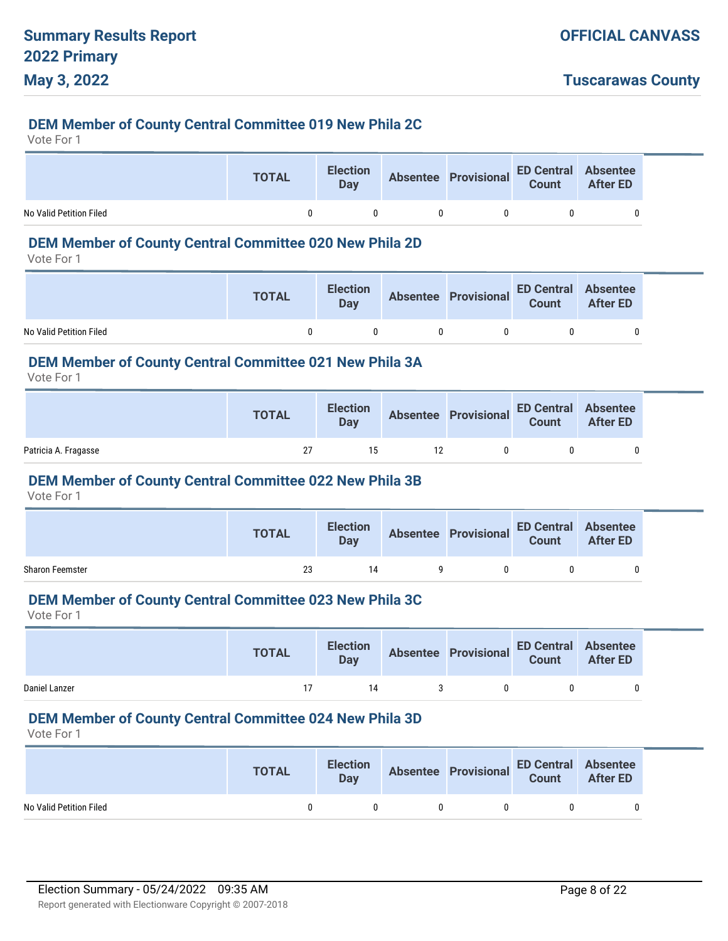## **DEM Member of County Central Committee 019 New Phila 2C**

Vote For 1

|                         | <b>TOTAL</b> | <b>Election</b><br>Day |          | Absentee Provisional ED Central Absentee<br>Count After ED |  |
|-------------------------|--------------|------------------------|----------|------------------------------------------------------------|--|
| No Valid Petition Filed |              |                        | $\Omega$ |                                                            |  |

# **DEM Member of County Central Committee 020 New Phila 2D**

Vote For 1

|                         | <b>TOTAL</b> |              |                | Election Absentee Provisional ED Central Absentee<br>Day Bay |  |
|-------------------------|--------------|--------------|----------------|--------------------------------------------------------------|--|
| No Valid Petition Filed | $\mathbf{u}$ | $\mathsf{n}$ | $\overline{0}$ | $\mathsf{n}$                                                 |  |

#### **DEM Member of County Central Committee 021 New Phila 3A**

Vote For 1

|                      | <b>TOTAL</b> | <b>Election</b><br><b>Day</b> | Absentee Provisional ED Central Absentee<br>Count After ED |  |
|----------------------|--------------|-------------------------------|------------------------------------------------------------|--|
| Patricia A. Fragasse | 27           | 15                            |                                                            |  |

#### **DEM Member of County Central Committee 022 New Phila 3B**

Vote For 1

|                        | <b>TOTAL</b> | <b>Election</b><br>Day |   | Absentee Provisional ED Central Absentee<br>Count After ED |  |
|------------------------|--------------|------------------------|---|------------------------------------------------------------|--|
| <b>Sharon Feemster</b> | 23           | 14                     | Q |                                                            |  |

#### **DEM Member of County Central Committee 023 New Phila 3C**

Vote For 1

|               | <b>TOTAL</b> | <b>Election</b><br><b>Day</b> | Absentee Provisional ED Central Absentee<br>Count After ED |  |
|---------------|--------------|-------------------------------|------------------------------------------------------------|--|
| Daniel Lanzer |              | 14                            | $\mathbf{u}$                                               |  |

#### **DEM Member of County Central Committee 024 New Phila 3D**

|                         | <b>TOTAL</b> | <b>Election</b><br><b>Day</b> |              | Absentee Provisional ED Central Absentee |  |
|-------------------------|--------------|-------------------------------|--------------|------------------------------------------|--|
| No Valid Petition Filed |              |                               | $\mathbf{0}$ | - 0                                      |  |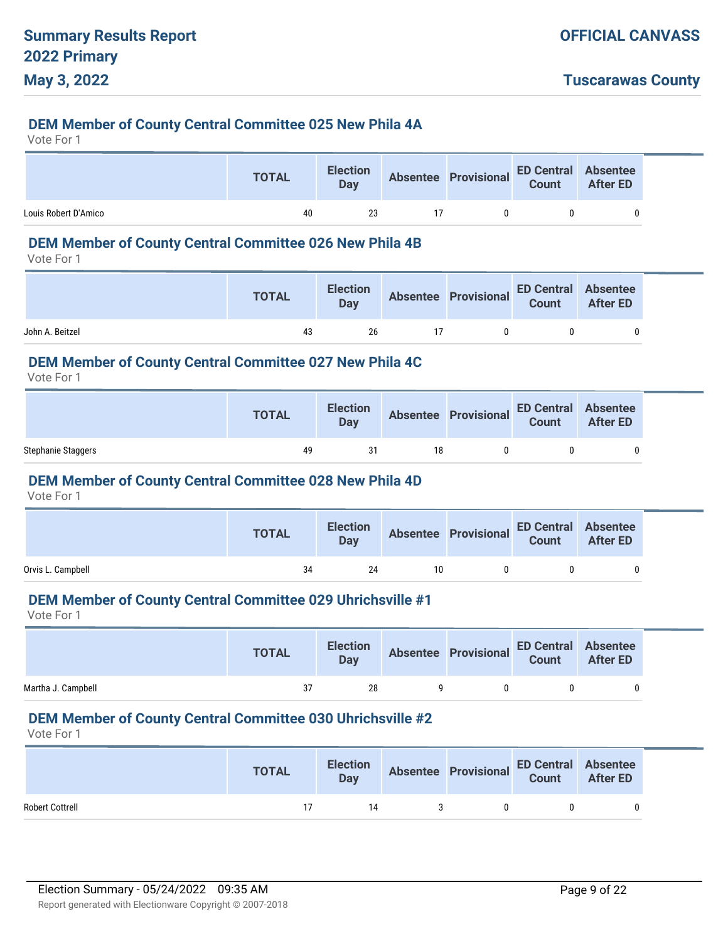#### **DEM Member of County Central Committee 025 New Phila 4A**

Vote For 1

|                      | <b>TOTAL</b> | <b>Election</b><br>Day | Absentee Provisional ED Central Absentee |  |
|----------------------|--------------|------------------------|------------------------------------------|--|
| Louis Robert D'Amico | 40           | 23                     |                                          |  |

#### **DEM Member of County Central Committee 026 New Phila 4B**

Vote For 1

|                 | <b>TOTAL</b> |    |    | Election Absentee Provisional ED Central Absentee<br>Day Bay Basentee Provisional Count After ED |  |
|-----------------|--------------|----|----|--------------------------------------------------------------------------------------------------|--|
| John A. Beitzel | 43           | 26 | 17 | $\mathsf{n}$                                                                                     |  |

#### **DEM Member of County Central Committee 027 New Phila 4C**

Vote For 1

|                    | <b>TOTAL</b> | <b>Election</b><br>Day |    | Absentee Provisional ED Central Absentee |  |
|--------------------|--------------|------------------------|----|------------------------------------------|--|
| Stephanie Staggers | 49           | 31                     | 18 |                                          |  |

#### **DEM Member of County Central Committee 028 New Phila 4D**

Vote For 1

|                   | <b>TOTAL</b> |    |    | Election Absentee Provisional ED Central Absentee<br>Day Reserves Count After ED |  |
|-------------------|--------------|----|----|----------------------------------------------------------------------------------|--|
| Orvis L. Campbell | 34           | 24 | 10 |                                                                                  |  |

#### **DEM Member of County Central Committee 029 Uhrichsville #1**

Vote For 1

|                    | <b>TOTAL</b> |    |   | Election Absentee Provisional ED Central Absentee<br>Day Count After ED |  |
|--------------------|--------------|----|---|-------------------------------------------------------------------------|--|
| Martha J. Campbell | 37           | 28 | Q |                                                                         |  |

#### **DEM Member of County Central Committee 030 Uhrichsville #2**

|                        | <b>TOTAL</b> | <b>Day</b> | Election Absentee Provisional ED Central Absentee<br>Day Count After ED |  |
|------------------------|--------------|------------|-------------------------------------------------------------------------|--|
| <b>Robert Cottrell</b> |              | 14         | $\mathbf{0}$                                                            |  |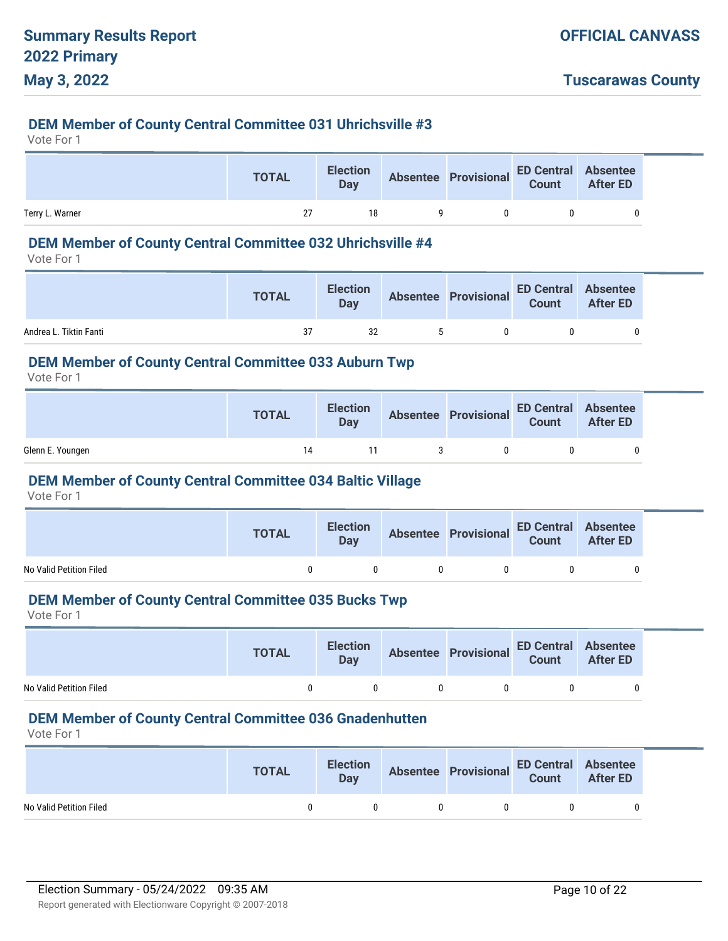### **DEM Member of County Central Committee 031 Uhrichsville #3**

Vote For 1

|                 | <b>TOTAL</b> | <b>Election</b><br>Day |   | Absentee Provisional ED Central Absentee |  |
|-----------------|--------------|------------------------|---|------------------------------------------|--|
| Terry L. Warner | 27           | 18                     | Q | 0                                        |  |

# **DEM Member of County Central Committee 032 Uhrichsville #4**

Vote For 1

|                        | <b>TOTAL</b> |    |  | Election Absentee Provisional ED Central Absentee<br>Day Count After ED |  |
|------------------------|--------------|----|--|-------------------------------------------------------------------------|--|
| Andrea L. Tiktin Fanti | 37           | 32 |  |                                                                         |  |

#### **DEM Member of County Central Committee 033 Auburn Twp**

Vote For 1

|                  | <b>TOTAL</b> | <b>Election</b><br>Day | Absentee Provisional ED Central Absentee<br>Count After ED |  |
|------------------|--------------|------------------------|------------------------------------------------------------|--|
| Glenn E. Youngen | 14           |                        |                                                            |  |

#### **DEM Member of County Central Committee 034 Baltic Village**

Vote For 1

|                         | <b>TOTAL</b> | <b>Election</b><br><b>Day</b> |    | Absentee Provisional ED Central Absentee<br>Count After ED |  |
|-------------------------|--------------|-------------------------------|----|------------------------------------------------------------|--|
| No Valid Petition Filed |              |                               | n. |                                                            |  |

### **DEM Member of County Central Committee 035 Bucks Twp**

Vote For 1

|                         | <b>TOTAL</b> | <b>Election</b><br><b>Day</b> |   | Absentee Provisional ED Central Absentee |  |
|-------------------------|--------------|-------------------------------|---|------------------------------------------|--|
| No Valid Petition Filed |              |                               | 0 | $\mathbf{u}$                             |  |

#### **DEM Member of County Central Committee 036 Gnadenhutten**

|                         | <b>TOTAL</b> | <b>Day</b> |              | Election Absentee Provisional ED Central Absentee<br>Day Count After ED |  |
|-------------------------|--------------|------------|--------------|-------------------------------------------------------------------------|--|
| No Valid Petition Filed |              |            | $\mathbf{0}$ | $\mathbf{0}$                                                            |  |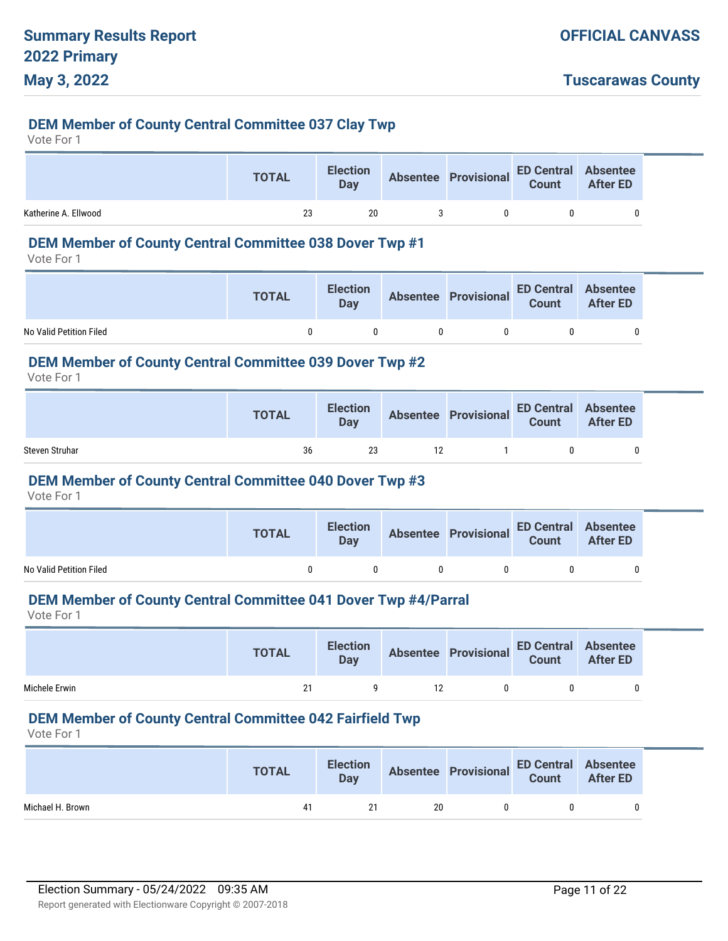#### **DEM Member of County Central Committee 037 Clay Twp**

Vote For 1

|                      | <b>TOTAL</b> | <b>Election</b><br>Day | Absentee Provisional ED Central Absentee<br>Count After ED |  |
|----------------------|--------------|------------------------|------------------------------------------------------------|--|
| Katherine A. Ellwood | 23           | 20                     |                                                            |  |

#### **DEM Member of County Central Committee 038 Dover Twp #1**

Vote For 1

|                         | <b>TOTAL</b> | <b>Election</b><br><b>Day</b> |   | Absentee Provisional ED Central Absentee<br>Count After ED |  |
|-------------------------|--------------|-------------------------------|---|------------------------------------------------------------|--|
| No Valid Petition Filed |              | $\mathsf{n}$                  | n |                                                            |  |

#### **DEM Member of County Central Committee 039 Dover Twp #2**

Vote For 1

|                | <b>TOTAL</b> | <b>Election</b><br>Dav | Absentee Provisional ED Central Absentee |  |
|----------------|--------------|------------------------|------------------------------------------|--|
| Steven Struhar | 36           | 23                     |                                          |  |

#### **DEM Member of County Central Committee 040 Dover Twp #3**

Vote For 1

|                         | <b>TOTAL</b> | <b>Election</b><br><b>Day</b> |              | Absentee Provisional ED Central Absentee<br>Count After ED |  |
|-------------------------|--------------|-------------------------------|--------------|------------------------------------------------------------|--|
| No Valid Petition Filed |              |                               | $\mathsf{n}$ |                                                            |  |

# **DEM Member of County Central Committee 041 Dover Twp #4/Parral**

Vote For 1

|               | <b>TOTAL</b> | <b>Election</b><br><b>Day</b> |    |              | Absentee Provisional ED Central Absentee<br>Count After ED |   |
|---------------|--------------|-------------------------------|----|--------------|------------------------------------------------------------|---|
| Michele Erwin | 21           |                               | 12 | $\mathsf{n}$ |                                                            | 0 |

#### **DEM Member of County Central Committee 042 Fairfield Twp**

|                  | <b>TOTAL</b> |    |    | Election Absentee Provisional ED Central Absentee<br>Day Count After ED |  |
|------------------|--------------|----|----|-------------------------------------------------------------------------|--|
| Michael H. Brown | 41           | 21 | 20 |                                                                         |  |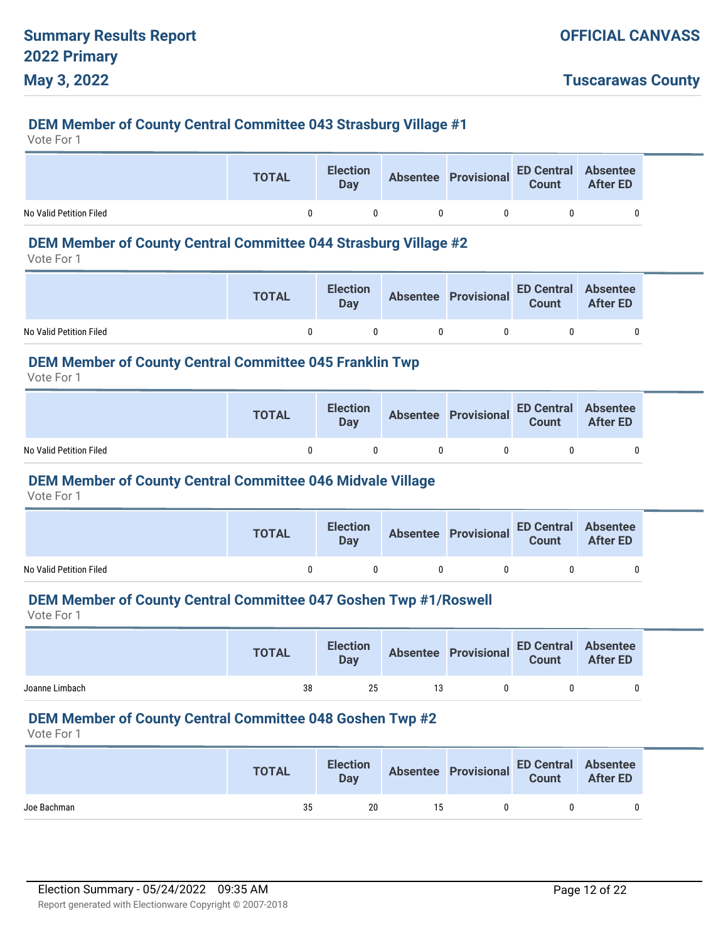**Tuscarawas County**

## **DEM Member of County Central Committee 043 Strasburg Village #1**

Vote For 1

|                         | <b>TOTAL</b> | <b>Election</b><br>Day | Absentee Provisional ED Central Absentee |  |
|-------------------------|--------------|------------------------|------------------------------------------|--|
| No Valid Petition Filed |              |                        | -0                                       |  |

#### **DEM Member of County Central Committee 044 Strasburg Village #2**

Vote For 1

|                         | <b>TOTAL</b> | <b>Election</b><br>Day |              | Absentee Provisional ED Central Absentee<br>Count After ED |  |
|-------------------------|--------------|------------------------|--------------|------------------------------------------------------------|--|
| No Valid Petition Filed |              |                        | $\mathsf{D}$ |                                                            |  |

### **DEM Member of County Central Committee 045 Franklin Twp**

Vote For 1

|                         | <b>TOTAL</b> | <b>Election</b><br><b>Day</b> | Absentee Provisional ED Central Absentee<br>Count After ED |  |
|-------------------------|--------------|-------------------------------|------------------------------------------------------------|--|
| No Valid Petition Filed |              |                               |                                                            |  |

#### **DEM Member of County Central Committee 046 Midvale Village**

Vote For 1

|                         | <b>TOTAL</b> | <b>Election</b><br><b>Day</b> | Absentee Provisional ED Central Absentee |  |
|-------------------------|--------------|-------------------------------|------------------------------------------|--|
| No Valid Petition Filed |              |                               |                                          |  |

#### **DEM Member of County Central Committee 047 Goshen Twp #1/Roswell**

Vote For 1

|                | <b>TOTAL</b> |    |    | Election Absentee Provisional ED Central Absentee<br>Day Count After ED |   |
|----------------|--------------|----|----|-------------------------------------------------------------------------|---|
| Joanne Limbach | 38           | 25 | 13 |                                                                         | 0 |

#### **DEM Member of County Central Committee 048 Goshen Twp #2**

|             | <b>TOTAL</b> |    |    | Election Absentee Provisional ED Central Absentee<br>Day Count After ED |  |
|-------------|--------------|----|----|-------------------------------------------------------------------------|--|
| Joe Bachman | 35           | 20 | 15 |                                                                         |  |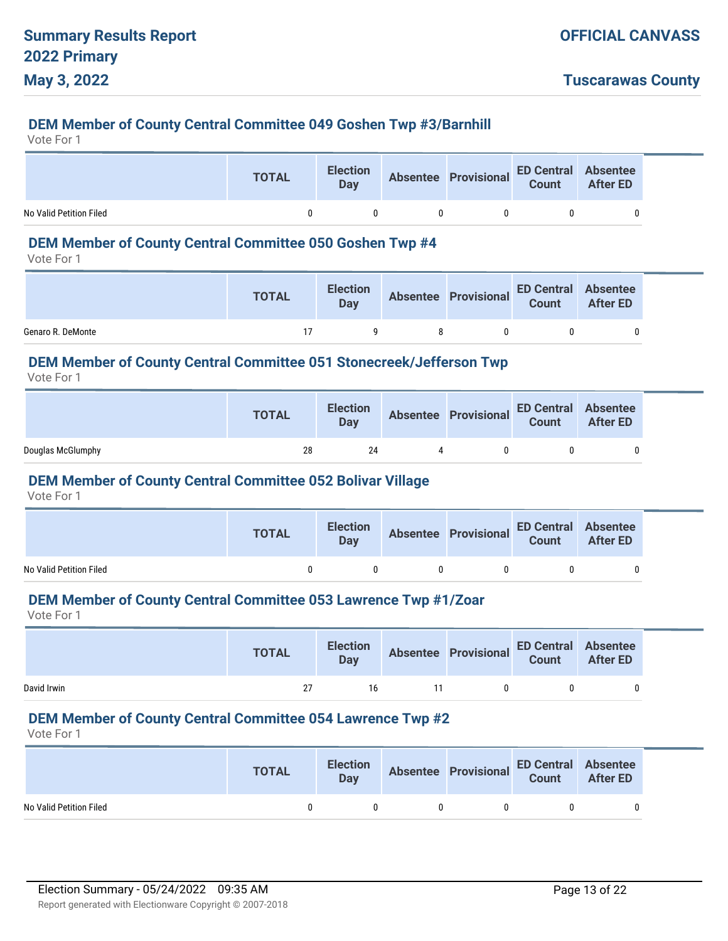#### **DEM Member of County Central Committee 049 Goshen Twp #3/Barnhill**

Vote For 1

|                         | <b>TOTAL</b> | <b>Election</b><br>Day |                   | Absentee Provisional ED Central Absentee |  |
|-------------------------|--------------|------------------------|-------------------|------------------------------------------|--|
| No Valid Petition Filed |              |                        | $^{\prime\prime}$ |                                          |  |

# **DEM Member of County Central Committee 050 Goshen Twp #4**

Vote For 1

|                   | <b>TOTAL</b> | <b>Election</b><br><b>Day</b> |    | Absentee Provisional ED Central Absentee<br>Count After ED |  |
|-------------------|--------------|-------------------------------|----|------------------------------------------------------------|--|
| Genaro R. DeMonte |              | $\Omega$                      | -8 |                                                            |  |

#### **DEM Member of County Central Committee 051 Stonecreek/Jefferson Twp**

Vote For 1

|                   | <b>TOTAL</b> | <b>Election</b><br>Day | Absentee Provisional ED Central Absentee |  |
|-------------------|--------------|------------------------|------------------------------------------|--|
| Douglas McGlumphy | 28           | 24                     | n.                                       |  |

#### **DEM Member of County Central Committee 052 Bolivar Village**

Vote For 1

|                         | <b>TOTAL</b> | <b>Election</b><br><b>Day</b> | Absentee Provisional ED Central Absentee<br>Count After ED |   |
|-------------------------|--------------|-------------------------------|------------------------------------------------------------|---|
| No Valid Petition Filed |              |                               |                                                            | 0 |

# **DEM Member of County Central Committee 053 Lawrence Twp #1/Zoar**

Vote For 1

|             | <b>TOTAL</b> | <b>Election</b><br><b>Day</b> |      |              | Absentee Provisional ED Central Absentee |  |
|-------------|--------------|-------------------------------|------|--------------|------------------------------------------|--|
| David Irwin | 27           | 16                            | - 11 | $\mathsf{n}$ |                                          |  |

#### **DEM Member of County Central Committee 054 Lawrence Twp #2**

|                         | <b>TOTAL</b> |              | Election Absentee Provisional ED Central Absentee<br>Day Count After ED |  |
|-------------------------|--------------|--------------|-------------------------------------------------------------------------|--|
| No Valid Petition Filed |              | $\mathsf{U}$ | $\Omega$                                                                |  |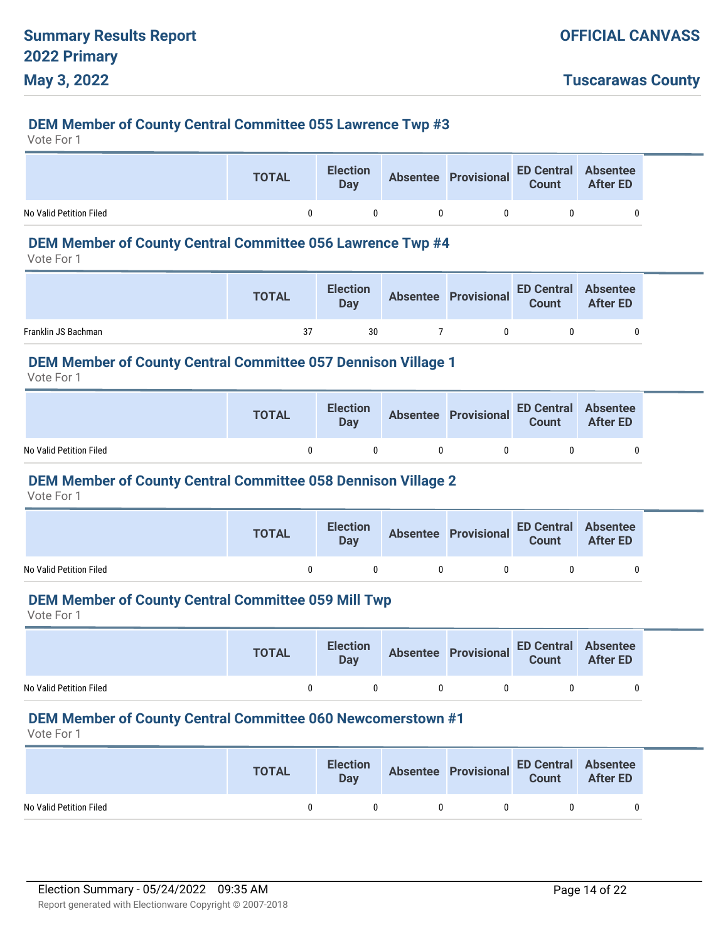#### **DEM Member of County Central Committee 055 Lawrence Twp #3**

Vote For 1

|                         | <b>TOTAL</b> | <b>Election</b><br>Day | Absentee Provisional ED Central Absentee<br>Count After ED |  |
|-------------------------|--------------|------------------------|------------------------------------------------------------|--|
| No Valid Petition Filed | n            |                        | 0                                                          |  |

# **DEM Member of County Central Committee 056 Lawrence Twp #4**

Vote For 1

|                     | <b>TOTAL</b> | <b>Election</b><br>Day | Absentee Provisional ED Central Absentee<br>Count After ED |  |
|---------------------|--------------|------------------------|------------------------------------------------------------|--|
| Franklin JS Bachman | 37           | 30                     |                                                            |  |

#### **DEM Member of County Central Committee 057 Dennison Village 1**

Vote For 1

|                         | <b>TOTAL</b> | <b>Election</b><br>Dav | Absentee Provisional ED Central Absentee<br>Count After ED |             |  |
|-------------------------|--------------|------------------------|------------------------------------------------------------|-------------|--|
| No Valid Petition Filed |              |                        |                                                            | $^{\prime}$ |  |

#### **DEM Member of County Central Committee 058 Dennison Village 2**

Vote For 1

|                         | <b>TOTAL</b> | <b>Election</b><br><b>Day</b> | Absentee Provisional ED Central Absentee<br>Count After ED |   |
|-------------------------|--------------|-------------------------------|------------------------------------------------------------|---|
| No Valid Petition Filed |              |                               |                                                            | 0 |

#### **DEM Member of County Central Committee 059 Mill Twp**

Vote For 1

|                         | <b>TOTAL</b> | <b>Election</b><br>Day |              | Absentee Provisional ED Central Absentee<br>Count After ED |  |
|-------------------------|--------------|------------------------|--------------|------------------------------------------------------------|--|
| No Valid Petition Filed |              |                        | $\mathbf{u}$ | $\mathbf{u}$                                               |  |

#### **DEM Member of County Central Committee 060 Newcomerstown #1**

|                         | <b>TOTAL</b> | <b>Election</b><br>Day |            | Absentee Provisional ED Central Absentee |  |
|-------------------------|--------------|------------------------|------------|------------------------------------------|--|
| No Valid Petition Filed |              | n                      | $^{\circ}$ |                                          |  |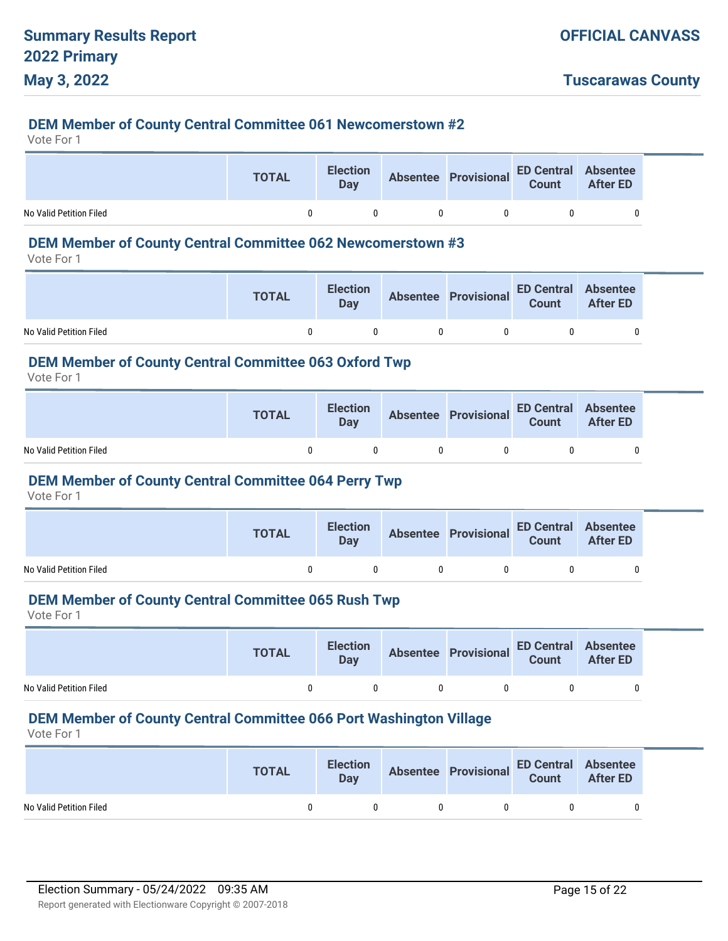**Tuscarawas County**

#### **DEM Member of County Central Committee 061 Newcomerstown #2**

Vote For 1

|                         | <b>TOTAL</b> | <b>Election</b><br>Day | Absentee Provisional ED Central Absentee<br>Count After ED |  |
|-------------------------|--------------|------------------------|------------------------------------------------------------|--|
| No Valid Petition Filed |              | 0                      |                                                            |  |

# **DEM Member of County Central Committee 062 Newcomerstown #3**

Vote For 1

|                         | <b>TOTAL</b> | <b>Election</b><br>Day |              | Absentee Provisional ED Central Absentee<br>Count After ED |  |
|-------------------------|--------------|------------------------|--------------|------------------------------------------------------------|--|
| No Valid Petition Filed | n            | $\mathsf{n}$           | $\mathsf{n}$ | n                                                          |  |

#### **DEM Member of County Central Committee 063 Oxford Twp**

Vote For 1

|                         | <b>TOTAL</b> | <b>Election</b><br>Day | Absentee Provisional ED Central Absentee<br>Count After ED |  |
|-------------------------|--------------|------------------------|------------------------------------------------------------|--|
| No Valid Petition Filed |              | $\mathbf{U}$           |                                                            |  |

#### **DEM Member of County Central Committee 064 Perry Twp**

Vote For 1

|                         | <b>TOTAL</b> | <b>Election</b><br>Day | Absentee Provisional ED Central Absentee<br>Count After ED |   |
|-------------------------|--------------|------------------------|------------------------------------------------------------|---|
| No Valid Petition Filed |              |                        |                                                            | 0 |

#### **DEM Member of County Central Committee 065 Rush Twp**

Vote For 1

|                         | <b>TOTAL</b> | <b>Election</b><br>Day |              | Absentee Provisional ED Central Absentee<br>Count After ED |  |
|-------------------------|--------------|------------------------|--------------|------------------------------------------------------------|--|
| No Valid Petition Filed |              |                        | $\mathbf{u}$ | $\mathbf{u}$                                               |  |

#### **DEM Member of County Central Committee 066 Port Washington Village**

|                         | <b>TOTAL</b> |              | Election Absentee Provisional ED Central Absentee<br>Day Count After ED |  |
|-------------------------|--------------|--------------|-------------------------------------------------------------------------|--|
| No Valid Petition Filed |              | $\mathsf{U}$ | $\Omega$                                                                |  |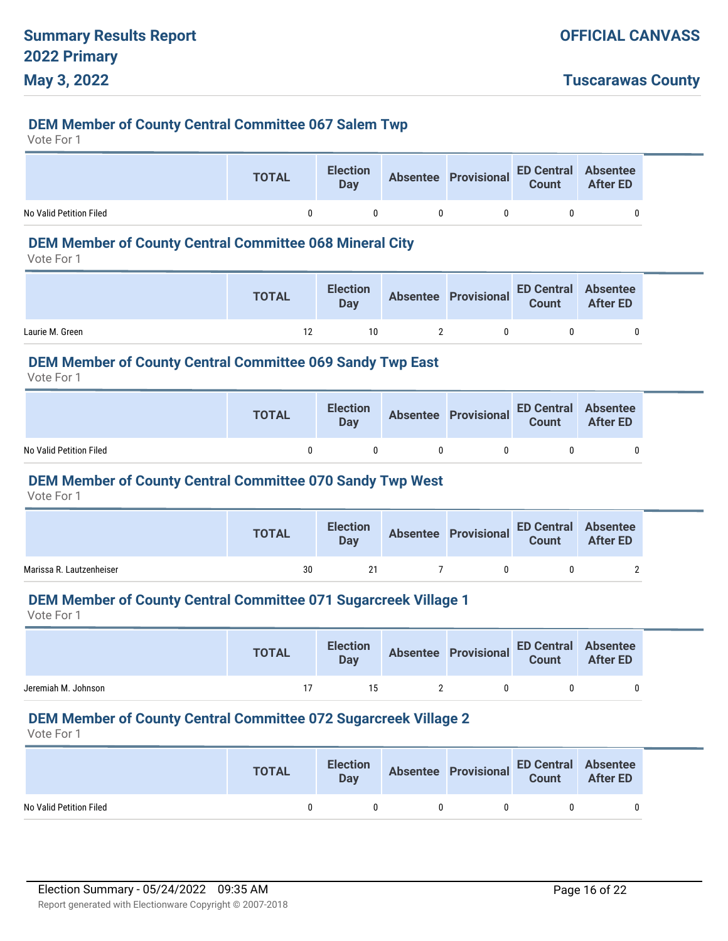#### **DEM Member of County Central Committee 067 Salem Twp**

Vote For 1

|                         | <b>TOTAL</b> | <b>Election</b><br>Day | Absentee Provisional ED Central Absentee |  |
|-------------------------|--------------|------------------------|------------------------------------------|--|
| No Valid Petition Filed | n.           |                        |                                          |  |

# **DEM Member of County Central Committee 068 Mineral City**

Vote For 1

|                 | <b>TOTAL</b> | <b>Election</b><br>Day | Absentee Provisional ED Central Absentee<br>Count After ED |  |
|-----------------|--------------|------------------------|------------------------------------------------------------|--|
| Laurie M. Green | 12           | 10                     |                                                            |  |

#### **DEM Member of County Central Committee 069 Sandy Twp East**

Vote For 1

|                         | <b>TOTAL</b> | <b>Election</b><br>Dav | Absentee Provisional ED Central Absentee<br>Count After ED |  |
|-------------------------|--------------|------------------------|------------------------------------------------------------|--|
| No Valid Petition Filed |              |                        |                                                            |  |

#### **DEM Member of County Central Committee 070 Sandy Twp West**

Vote For 1

|                          | <b>TOTAL</b> | <b>Election</b><br><b>Day</b> | Absentee Provisional ED Central Absentee<br>Count After ED |  |
|--------------------------|--------------|-------------------------------|------------------------------------------------------------|--|
| Marissa R. Lautzenheiser | 30           | 21                            | n                                                          |  |

# **DEM Member of County Central Committee 071 Sugarcreek Village 1**

Vote For 1

|                     | <b>TOTAL</b> |    | Election Absentee Provisional ED Central Absentee<br>Day Count After ED |  |
|---------------------|--------------|----|-------------------------------------------------------------------------|--|
| Jeremiah M. Johnson |              | 15 |                                                                         |  |

# **DEM Member of County Central Committee 072 Sugarcreek Village 2**

|                         | <b>TOTAL</b> |              | Election Absentee Provisional ED Central Absentee<br>Day Count After ED |  |
|-------------------------|--------------|--------------|-------------------------------------------------------------------------|--|
| No Valid Petition Filed |              | $\mathsf{U}$ | $\Omega$                                                                |  |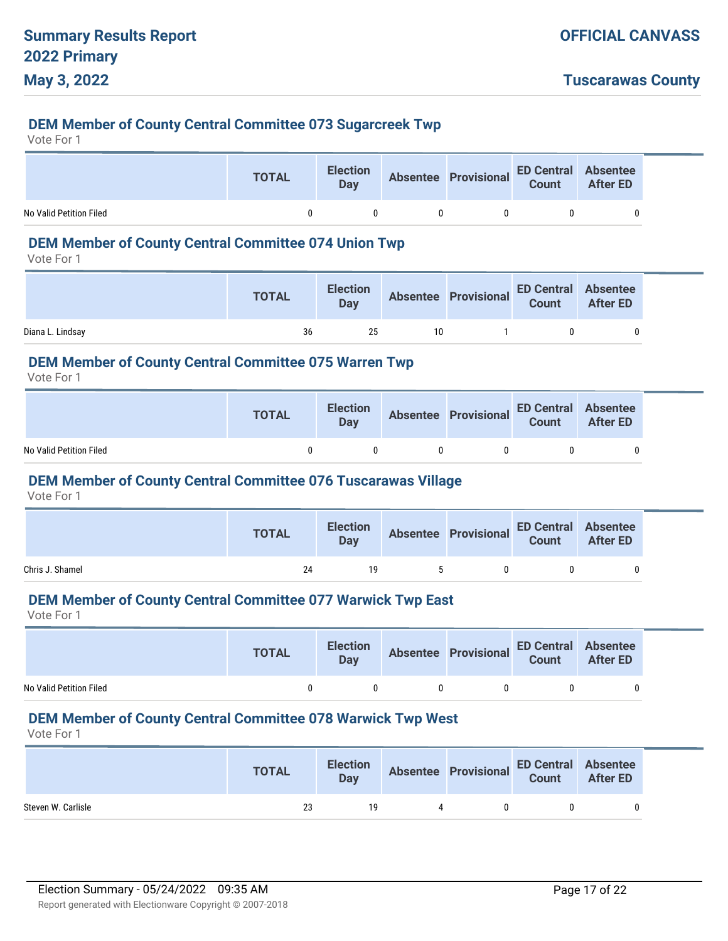#### **DEM Member of County Central Committee 073 Sugarcreek Twp**

Vote For 1

|                         | <b>TOTAL</b> | <b>Election</b><br>Day | Absentee Provisional ED Central Absentee<br>Count After ED |  |
|-------------------------|--------------|------------------------|------------------------------------------------------------|--|
| No Valid Petition Filed |              | 0                      |                                                            |  |

# **DEM Member of County Central Committee 074 Union Twp**

Vote For 1

|                  | <b>TOTAL</b> |    |      | Election Absentee Provisional ED Central Absentee<br>Day Count After ED |  |
|------------------|--------------|----|------|-------------------------------------------------------------------------|--|
| Diana L. Lindsav | 36           | 25 | 10 I |                                                                         |  |

#### **DEM Member of County Central Committee 075 Warren Twp**

Vote For 1

|                         | <b>TOTAL</b> | <b>Election</b><br>Dav |              | Absentee Provisional ED Central Absentee<br>Count After ED |   |  |
|-------------------------|--------------|------------------------|--------------|------------------------------------------------------------|---|--|
| No Valid Petition Filed | n.           |                        | $\mathbf{0}$ |                                                            | 0 |  |

#### **DEM Member of County Central Committee 076 Tuscarawas Village**

Vote For 1

|                 | <b>TOTAL</b> | <b>Election</b><br>Day |      | Absentee Provisional ED Central Absentee<br>Count After ED |  |
|-----------------|--------------|------------------------|------|------------------------------------------------------------|--|
| Chris J. Shamel | 24           | 19                     | $-5$ |                                                            |  |

#### **DEM Member of County Central Committee 077 Warwick Twp East**

Vote For 1

|                         | <b>TOTAL</b> | <b>Election</b><br><b>Day</b> |              | Absentee Provisional ED Central Absentee<br>Count After ED |  |
|-------------------------|--------------|-------------------------------|--------------|------------------------------------------------------------|--|
| No Valid Petition Filed |              |                               | $\mathbf{u}$ |                                                            |  |

#### **DEM Member of County Central Committee 078 Warwick Twp West**

|                    | <b>TOTAL</b> | <b>Election</b><br>Day |   | Absentee Provisional ED Central Absentee<br>Count After ED |  |
|--------------------|--------------|------------------------|---|------------------------------------------------------------|--|
| Steven W. Carlisle | 23           | 19                     | 4 | $\mathbf{u}$                                               |  |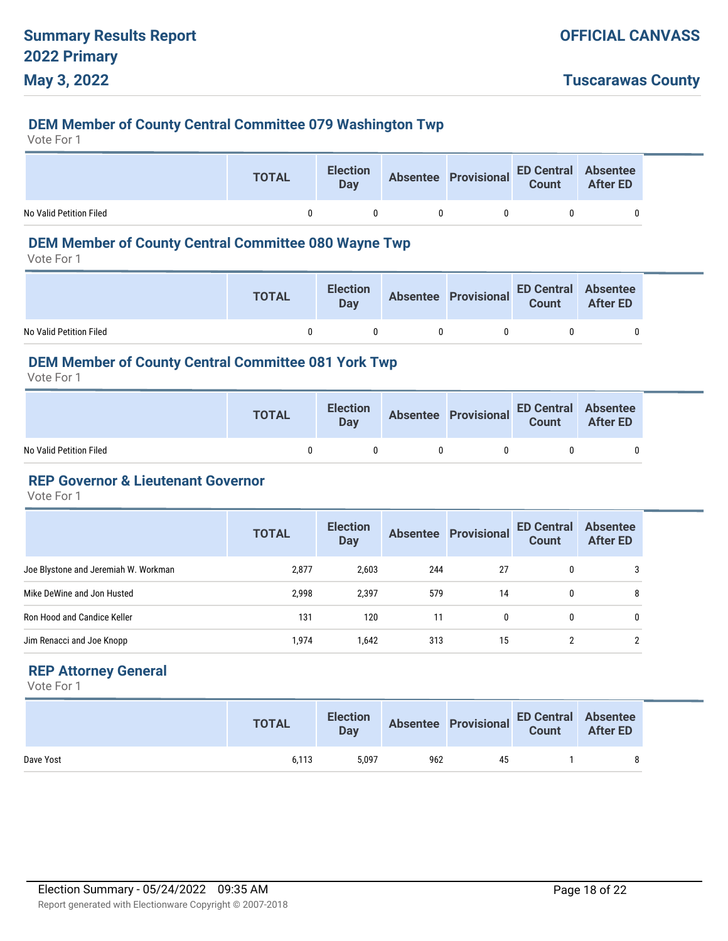# **DEM Member of County Central Committee 079 Washington Twp**

Vote For 1

|                         | <b>TOTAL</b> | <b>Election</b><br>Day | Absentee Provisional ED Central Absentee<br>Count After ED |  |
|-------------------------|--------------|------------------------|------------------------------------------------------------|--|
| No Valid Petition Filed |              | 0                      |                                                            |  |

# **DEM Member of County Central Committee 080 Wayne Twp**

Vote For 1

|                         | <b>TOTAL</b>      | <b>Election</b><br>Day |            |    | Absentee Provisional ED Central Absentee<br>Count After ED |  |
|-------------------------|-------------------|------------------------|------------|----|------------------------------------------------------------|--|
| No Valid Petition Filed | $^{\prime\prime}$ |                        | $^{\circ}$ | -0 |                                                            |  |

# **DEM Member of County Central Committee 081 York Twp**

Vote For 1

|                         | <b>TOTAL</b> | <b>Election</b><br>Day | Absentee Provisional ED Central Absentee<br>Count After ED |  |
|-------------------------|--------------|------------------------|------------------------------------------------------------|--|
| No Valid Petition Filed |              | n                      |                                                            |  |

### **REP Governor & Lieutenant Governor**

Vote For 1

|                                      | <b>TOTAL</b> | <b>Election</b><br><b>Day</b> |     | <b>Absentee Provisional</b> | <b>ED Central</b><br><b>Count</b> | <b>Absentee</b><br><b>After ED</b> |
|--------------------------------------|--------------|-------------------------------|-----|-----------------------------|-----------------------------------|------------------------------------|
| Joe Blystone and Jeremiah W. Workman | 2,877        | 2,603                         | 244 | 27                          | $\mathbf{0}$                      | 3                                  |
| Mike DeWine and Jon Husted           | 2,998        | 2,397                         | 579 | 14                          | 0                                 | 8                                  |
| Ron Hood and Candice Keller          | 131          | 120                           | 11  | $\mathbf{0}$                | 0                                 | 0                                  |
| Jim Renacci and Joe Knopp            | 1,974        | 1,642                         | 313 | 15                          |                                   | 2                                  |

# **REP Attorney General**

|           | <b>TOTAL</b> | <b>Election</b><br>Day |     | Absentee Provisional ED Central Absentee<br>Count After ED |  |  |
|-----------|--------------|------------------------|-----|------------------------------------------------------------|--|--|
| Dave Yost | 6.113        | 5.097                  | 962 | 45                                                         |  |  |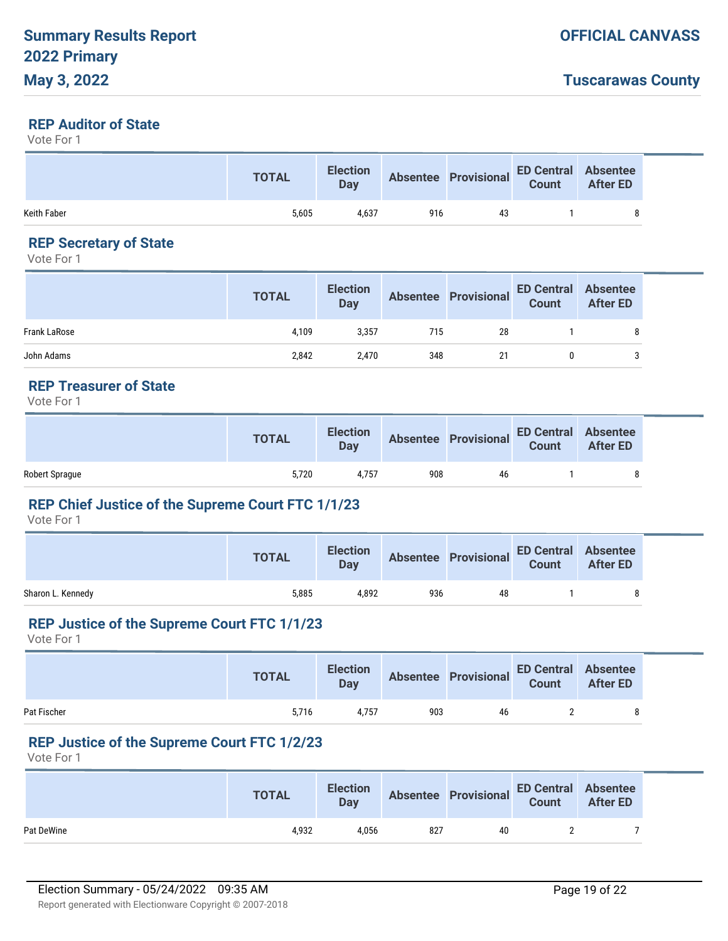# **Tuscarawas County**

#### **REP Auditor of State**

Vote For 1

|             | <b>TOTAL</b> | <b>Election</b><br>Day |     | Absentee Provisional ED Central Absentee |  |
|-------------|--------------|------------------------|-----|------------------------------------------|--|
| Keith Faber | 5,605        | 4.637                  | 916 | 43                                       |  |

# **REP Secretary of State**

Vote For 1

|                     | <b>TOTAL</b> | <b>Election</b><br>Day |     | Absentee Provisional ED Central Absentee<br>Count After ED |  |
|---------------------|--------------|------------------------|-----|------------------------------------------------------------|--|
| <b>Frank LaRose</b> | 4.109        | 3.357                  | 715 | 28                                                         |  |
| John Adams          | 2,842        | 2,470                  | 348 |                                                            |  |

# **REP Treasurer of State**

Vote For 1

|                | <b>TOTAL</b> | <b>Election</b><br>Day |     | Absentee Provisional ED Central Absentee<br>Count After ED |  |
|----------------|--------------|------------------------|-----|------------------------------------------------------------|--|
| Robert Sprague | 5.720        | 4.757                  | 908 | 46                                                         |  |

# **REP Chief Justice of the Supreme Court FTC 1/1/23**

Vote For 1

|                   | <b>TOTAL</b> | <b>Election</b><br>Day |     | Absentee Provisional | <b>ED Central Absentee</b> |  |
|-------------------|--------------|------------------------|-----|----------------------|----------------------------|--|
| Sharon L. Kennedy | 5,885        | 4.892                  | 936 | 48                   |                            |  |

#### **REP Justice of the Supreme Court FTC 1/1/23**

Vote For 1

|             | <b>TOTAL</b> | <b>Election</b><br><b>Day</b> |     | Absentee Provisional ED Central Absentee<br>Count After ED |  |
|-------------|--------------|-------------------------------|-----|------------------------------------------------------------|--|
| Pat Fischer | 5.716        | 4.757                         | 903 | 46                                                         |  |

#### **REP Justice of the Supreme Court FTC 1/2/23**

|            | <b>TOTAL</b> | <b>Election</b><br>Day |     | Absentee Provisional ED Central Absentee<br>Count After ED |  |
|------------|--------------|------------------------|-----|------------------------------------------------------------|--|
| Pat DeWine | 4.932        | 4,056                  | 827 | 40                                                         |  |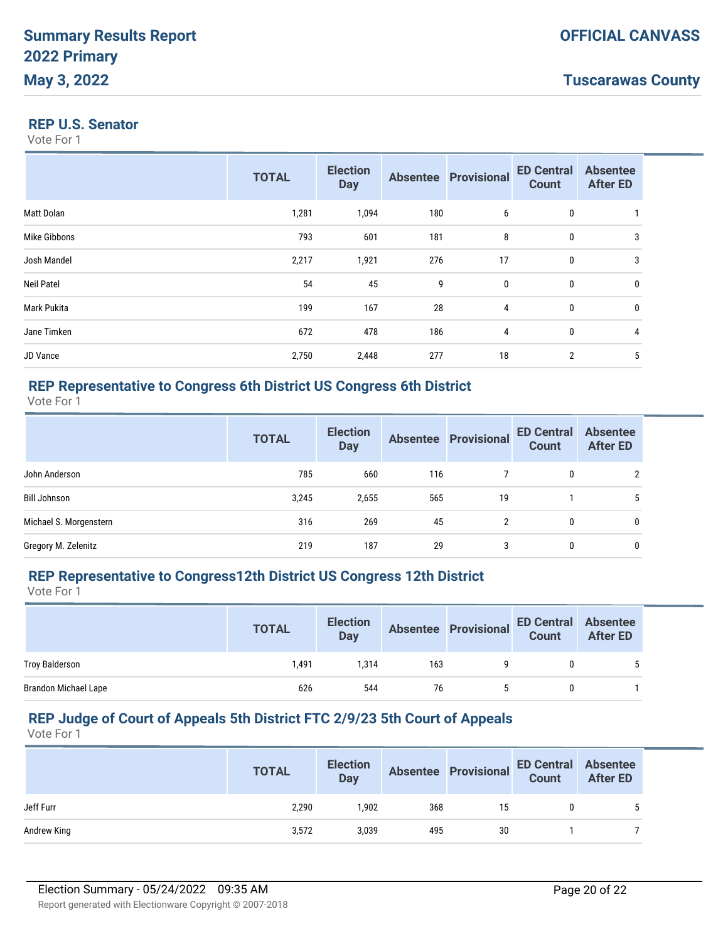#### **REP U.S. Senator**

Vote For 1

|                   | <b>TOTAL</b> | <b>Election</b><br><b>Day</b> |     | <b>Absentee Provisional</b> | <b>ED Central</b><br><b>Count</b> | <b>Absentee</b><br><b>After ED</b> |
|-------------------|--------------|-------------------------------|-----|-----------------------------|-----------------------------------|------------------------------------|
| Matt Dolan        | 1,281        | 1,094                         | 180 | 6                           | $\boldsymbol{0}$                  |                                    |
| Mike Gibbons      | 793          | 601                           | 181 | 8                           | $\boldsymbol{0}$                  | 3                                  |
| Josh Mandel       | 2,217        | 1,921                         | 276 | 17                          | $\boldsymbol{0}$                  | 3                                  |
| <b>Neil Patel</b> | 54           | 45                            | 9   | 0                           | $\boldsymbol{0}$                  | 0                                  |
| Mark Pukita       | 199          | 167                           | 28  | 4                           | $\mathbf 0$                       | 0                                  |
| Jane Timken       | 672          | 478                           | 186 | 4                           | $\mathbf 0$                       | 4                                  |
| JD Vance          | 2,750        | 2,448                         | 277 | 18                          | $\overline{2}$                    | 5                                  |

### **REP Representative to Congress 6th District US Congress 6th District**

Vote For 1

|                        | <b>TOTAL</b> | <b>Election</b><br><b>Day</b> |     | <b>Absentee Provisional</b> | <b>ED Central</b><br><b>Count</b> | <b>Absentee</b><br><b>After ED</b> |
|------------------------|--------------|-------------------------------|-----|-----------------------------|-----------------------------------|------------------------------------|
| John Anderson          | 785          | 660                           | 116 |                             | 0                                 | C                                  |
| Bill Johnson           | 3,245        | 2,655                         | 565 | 19                          |                                   | 5                                  |
| Michael S. Morgenstern | 316          | 269                           | 45  | $\mathfrak{p}$              | 0                                 | 0                                  |
| Gregory M. Zelenitz    | 219          | 187                           | 29  | 3                           | 0                                 | 0                                  |

## **REP Representative to Congress12th District US Congress 12th District**

Vote For 1

|                             | <b>TOTAL</b> | <b>Election</b><br><b>Day</b> |     | <b>Absentee Provisional</b> | <b>ED Central Absentee</b><br>Count | <b>After ED</b> |
|-----------------------------|--------------|-------------------------------|-----|-----------------------------|-------------------------------------|-----------------|
| Troy Balderson              | 1.491        | 1.314                         | 163 |                             |                                     |                 |
| <b>Brandon Michael Lape</b> | 626          | 544                           | 76  |                             |                                     |                 |

### **REP Judge of Court of Appeals 5th District FTC 2/9/23 5th Court of Appeals**

|             | <b>TOTAL</b> | <b>Election</b><br><b>Day</b> |     | Absentee Provisional ED Central Absentee<br>Count After ED |  |
|-------------|--------------|-------------------------------|-----|------------------------------------------------------------|--|
| Jeff Furr   | 2,290        | 1.902                         | 368 | 15                                                         |  |
| Andrew King | 3,572        | 3,039                         | 495 | 30                                                         |  |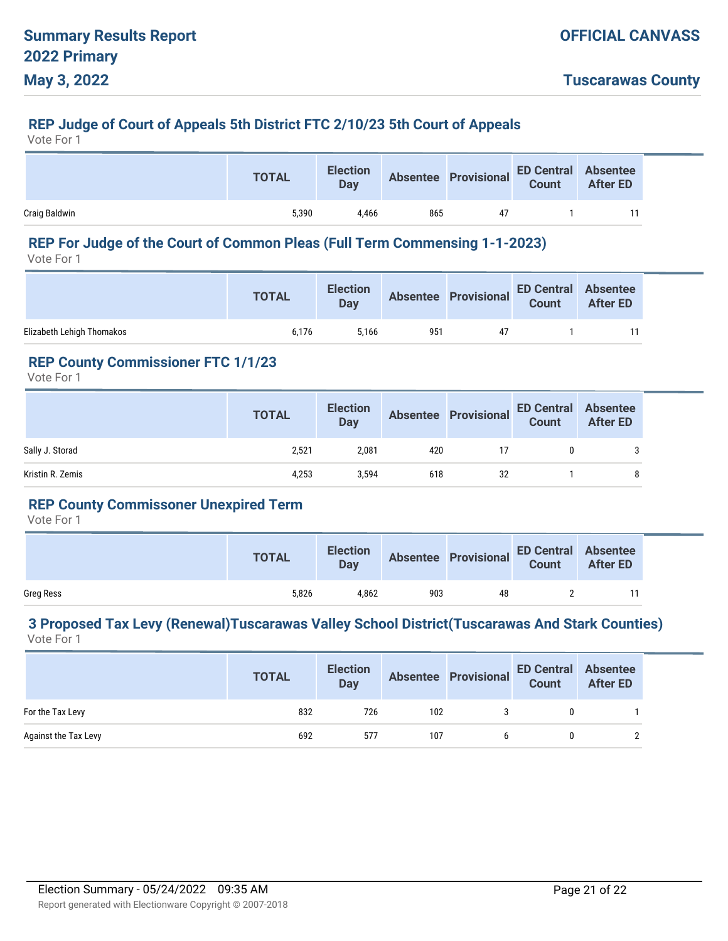### **REP Judge of Court of Appeals 5th District FTC 2/10/23 5th Court of Appeals**

Vote For 1

|               | <b>TOTAL</b> | <b>Election</b><br>Day |     | Absentee Provisional ED Central Absentee |  |
|---------------|--------------|------------------------|-----|------------------------------------------|--|
| Craig Baldwin | 5.390        | 4.466                  | 865 | 47                                       |  |

# **REP For Judge of the Court of Common Pleas (Full Term Commensing 1-1-2023)**

Vote For 1

|                           | <b>TOTAL</b> | <b>Election</b><br><b>Day</b> |     | Absentee Provisional ED Central Absentee<br>Count After ED |  |
|---------------------------|--------------|-------------------------------|-----|------------------------------------------------------------|--|
| Elizabeth Lehigh Thomakos | 6.176        | 5.166                         | 951 | 47                                                         |  |

#### **REP County Commissioner FTC 1/1/23**

Vote For 1

|                  | <b>TOTAL</b> | <b>Election</b><br>Day |     | Absentee Provisional ED Central | <b>Absentee<br/>After ED</b> |
|------------------|--------------|------------------------|-----|---------------------------------|------------------------------|
| Sally J. Storad  | 2,521        | 2,081                  | 420 |                                 |                              |
| Kristin R. Zemis | 4,253        | 3,594                  | 618 | 32                              | 8                            |

# **REP County Commissoner Unexpired Term**

Vote For 1

|                  | <b>TOTAL</b> | <b>Election</b><br>Day |     | Absentee Provisional ED Central Absentee<br>Count After ED |  |
|------------------|--------------|------------------------|-----|------------------------------------------------------------|--|
| <b>Greg Ress</b> | 5.826        | 4.862                  | 903 | 48                                                         |  |

#### **3 Proposed Tax Levy (Renewal)Tuscarawas Valley School District(Tuscarawas And Stark Counties)** Vote For 1

|                      | <b>TOTAL</b> | <b>Election</b><br><b>Day</b> |     | <b>Absentee Provisional</b> | <b>ED Central Absentee</b><br>Count | <b>After ED</b> |
|----------------------|--------------|-------------------------------|-----|-----------------------------|-------------------------------------|-----------------|
| For the Tax Levy     | 832          | 726                           | 102 |                             |                                     |                 |
| Against the Tax Levy | 692          | 577                           | 107 |                             |                                     |                 |